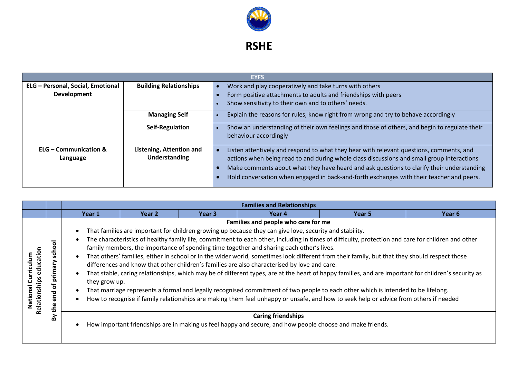

**RSHE** 

|                                   |                               |  | <b>EYFS</b>                                                                                  |
|-----------------------------------|-------------------------------|--|----------------------------------------------------------------------------------------------|
| ELG - Personal, Social, Emotional | <b>Building Relationships</b> |  | Work and play cooperatively and take turns with others                                       |
| Development                       |                               |  | Form positive attachments to adults and friendships with peers                               |
|                                   |                               |  | Show sensitivity to their own and to others' needs.                                          |
| <b>Managing Self</b>              |                               |  | Explain the reasons for rules, know right from wrong and try to behave accordingly           |
| <b>Self-Regulation</b>            |                               |  | Show an understanding of their own feelings and those of others, and begin to regulate their |
|                                   |                               |  | behaviour accordingly                                                                        |
| <b>ELG - Communication &amp;</b>  | Listening, Attention and      |  | Listen attentively and respond to what they hear with relevant questions, comments, and      |
| Language                          | <b>Understanding</b>          |  | actions when being read to and during whole class discussions and small group interactions   |
|                                   |                               |  | Make comments about what they have heard and ask questions to clarify their understanding    |
|                                   |                               |  | Hold conversation when engaged in back-and-forth exchanges with their teacher and peers.     |

|                                                      |                                                     |                                                                                             |                   |                   | <b>Families and Relationships</b>                                                                                                                                                                                                                                                                                                          |                                                                                                                                                                                                                                                                                                                                                                                                                                                                                                                                                                                                                                                                                                                                           |        |
|------------------------------------------------------|-----------------------------------------------------|---------------------------------------------------------------------------------------------|-------------------|-------------------|--------------------------------------------------------------------------------------------------------------------------------------------------------------------------------------------------------------------------------------------------------------------------------------------------------------------------------------------|-------------------------------------------------------------------------------------------------------------------------------------------------------------------------------------------------------------------------------------------------------------------------------------------------------------------------------------------------------------------------------------------------------------------------------------------------------------------------------------------------------------------------------------------------------------------------------------------------------------------------------------------------------------------------------------------------------------------------------------------|--------|
|                                                      |                                                     | Year 1                                                                                      | Year <sub>2</sub> | Year <sub>3</sub> | Year 4                                                                                                                                                                                                                                                                                                                                     | Year 5                                                                                                                                                                                                                                                                                                                                                                                                                                                                                                                                                                                                                                                                                                                                    | Year 6 |
| education<br>Curriculum<br>Relationships<br>Vational | ᅙ<br>Ō<br>န<br>Ū.<br>rimary<br>௨<br>ቴ<br>end<br>the | $\bullet$<br>$\bullet$<br>$\bullet$<br>$\bullet$<br>they grow up.<br>$\bullet$<br>$\bullet$ |                   |                   | Families and people who care for me<br>That families are important for children growing up because they can give love, security and stability.<br>family members, the importance of spending time together and sharing each other's lives.<br>differences and know that other children's families are also characterised by love and care. | The characteristics of healthy family life, commitment to each other, including in times of difficulty, protection and care for children and other<br>That others' families, either in school or in the wider world, sometimes look different from their family, but that they should respect those<br>That stable, caring relationships, which may be of different types, are at the heart of happy families, and are important for children's security as<br>That marriage represents a formal and legally recognised commitment of two people to each other which is intended to be lifelong.<br>How to recognise if family relationships are making them feel unhappy or unsafe, and how to seek help or advice from others if needed |        |
|                                                      | δ                                                   | $\bullet$                                                                                   |                   |                   | <b>Caring friendships</b><br>How important friendships are in making us feel happy and secure, and how people choose and make friends.                                                                                                                                                                                                     |                                                                                                                                                                                                                                                                                                                                                                                                                                                                                                                                                                                                                                                                                                                                           |        |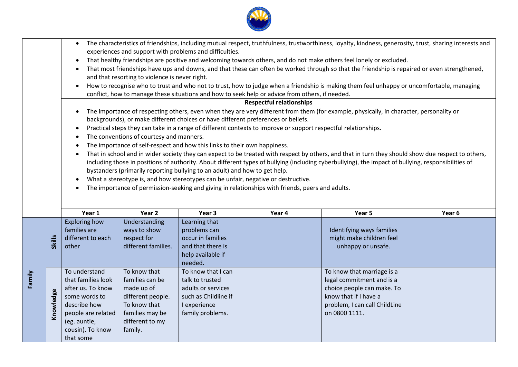|        |                                                                                                                                                                                                                                                                                              | $\bullet$                     |                                          |                                                                            |                                                                                                                | The characteristics of friendships, including mutual respect, truthfulness, trustworthiness, loyalty, kindness, generosity, trust, sharing interests and |        |  |  |  |  |  |
|--------|----------------------------------------------------------------------------------------------------------------------------------------------------------------------------------------------------------------------------------------------------------------------------------------------|-------------------------------|------------------------------------------|----------------------------------------------------------------------------|----------------------------------------------------------------------------------------------------------------|----------------------------------------------------------------------------------------------------------------------------------------------------------|--------|--|--|--|--|--|
|        |                                                                                                                                                                                                                                                                                              |                               |                                          | experiences and support with problems and difficulties.                    |                                                                                                                |                                                                                                                                                          |        |  |  |  |  |  |
|        |                                                                                                                                                                                                                                                                                              |                               |                                          |                                                                            |                                                                                                                | That healthy friendships are positive and welcoming towards others, and do not make others feel lonely or excluded.                                      |        |  |  |  |  |  |
|        |                                                                                                                                                                                                                                                                                              |                               |                                          |                                                                            |                                                                                                                | That most friendships have ups and downs, and that these can often be worked through so that the friendship is repaired or even strengthened,            |        |  |  |  |  |  |
|        | and that resorting to violence is never right.                                                                                                                                                                                                                                               |                               |                                          |                                                                            |                                                                                                                |                                                                                                                                                          |        |  |  |  |  |  |
|        | How to recognise who to trust and who not to trust, how to judge when a friendship is making them feel unhappy or uncomfortable, managing<br>$\bullet$<br>conflict, how to manage these situations and how to seek help or advice from others, if needed.<br><b>Respectful relationships</b> |                               |                                          |                                                                            |                                                                                                                |                                                                                                                                                          |        |  |  |  |  |  |
|        |                                                                                                                                                                                                                                                                                              |                               |                                          |                                                                            |                                                                                                                |                                                                                                                                                          |        |  |  |  |  |  |
|        |                                                                                                                                                                                                                                                                                              |                               |                                          |                                                                            |                                                                                                                | The importance of respecting others, even when they are very different from them (for example, physically, in character, personality or                  |        |  |  |  |  |  |
|        |                                                                                                                                                                                                                                                                                              |                               |                                          |                                                                            | backgrounds), or make different choices or have different preferences or beliefs.                              |                                                                                                                                                          |        |  |  |  |  |  |
|        |                                                                                                                                                                                                                                                                                              |                               |                                          |                                                                            | Practical steps they can take in a range of different contexts to improve or support respectful relationships. |                                                                                                                                                          |        |  |  |  |  |  |
|        |                                                                                                                                                                                                                                                                                              |                               | The conventions of courtesy and manners. |                                                                            |                                                                                                                |                                                                                                                                                          |        |  |  |  |  |  |
|        |                                                                                                                                                                                                                                                                                              |                               |                                          | The importance of self-respect and how this links to their own happiness.  |                                                                                                                |                                                                                                                                                          |        |  |  |  |  |  |
|        |                                                                                                                                                                                                                                                                                              |                               |                                          |                                                                            |                                                                                                                | That in school and in wider society they can expect to be treated with respect by others, and that in turn they should show due respect to others,       |        |  |  |  |  |  |
|        |                                                                                                                                                                                                                                                                                              |                               |                                          |                                                                            |                                                                                                                | including those in positions of authority. About different types of bullying (including cyberbullying), the impact of bullying, responsibilities of      |        |  |  |  |  |  |
|        |                                                                                                                                                                                                                                                                                              |                               |                                          | bystanders (primarily reporting bullying to an adult) and how to get help. |                                                                                                                |                                                                                                                                                          |        |  |  |  |  |  |
|        |                                                                                                                                                                                                                                                                                              | $\bullet$                     |                                          |                                                                            | What a stereotype is, and how stereotypes can be unfair, negative or destructive.                              |                                                                                                                                                          |        |  |  |  |  |  |
|        |                                                                                                                                                                                                                                                                                              |                               |                                          |                                                                            | The importance of permission-seeking and giving in relationships with friends, peers and adults.               |                                                                                                                                                          |        |  |  |  |  |  |
|        |                                                                                                                                                                                                                                                                                              |                               |                                          |                                                                            |                                                                                                                |                                                                                                                                                          |        |  |  |  |  |  |
|        |                                                                                                                                                                                                                                                                                              | Year 1                        | Year 2                                   | Year 3                                                                     | Year 4                                                                                                         | Year 5                                                                                                                                                   | Year 6 |  |  |  |  |  |
|        |                                                                                                                                                                                                                                                                                              | <b>Exploring how</b>          | Understanding                            | Learning that                                                              |                                                                                                                |                                                                                                                                                          |        |  |  |  |  |  |
|        |                                                                                                                                                                                                                                                                                              | families are                  | ways to show                             | problems can                                                               |                                                                                                                | Identifying ways families                                                                                                                                |        |  |  |  |  |  |
|        | <b>Skills</b>                                                                                                                                                                                                                                                                                | different to each             | respect for                              | occur in families                                                          |                                                                                                                | might make children feel                                                                                                                                 |        |  |  |  |  |  |
|        |                                                                                                                                                                                                                                                                                              | other                         | different families.                      | and that there is                                                          |                                                                                                                | unhappy or unsafe.                                                                                                                                       |        |  |  |  |  |  |
|        |                                                                                                                                                                                                                                                                                              |                               |                                          | help available if                                                          |                                                                                                                |                                                                                                                                                          |        |  |  |  |  |  |
|        |                                                                                                                                                                                                                                                                                              |                               |                                          | needed.                                                                    |                                                                                                                |                                                                                                                                                          |        |  |  |  |  |  |
|        |                                                                                                                                                                                                                                                                                              | To understand                 | To know that                             | To know that I can                                                         |                                                                                                                | To know that marriage is a                                                                                                                               |        |  |  |  |  |  |
| Family |                                                                                                                                                                                                                                                                                              | that families look            | families can be                          | talk to trusted                                                            |                                                                                                                | legal commitment and is a                                                                                                                                |        |  |  |  |  |  |
|        |                                                                                                                                                                                                                                                                                              |                               |                                          |                                                                            |                                                                                                                |                                                                                                                                                          |        |  |  |  |  |  |
|        |                                                                                                                                                                                                                                                                                              | after us. To know             | made up of                               | adults or services                                                         |                                                                                                                | choice people can make. To                                                                                                                               |        |  |  |  |  |  |
|        |                                                                                                                                                                                                                                                                                              | some words to                 | different people.                        | such as Childline if                                                       |                                                                                                                | know that if I have a                                                                                                                                    |        |  |  |  |  |  |
|        |                                                                                                                                                                                                                                                                                              | describe how                  | To know that                             | I experience                                                               |                                                                                                                | problem, I can call ChildLine                                                                                                                            |        |  |  |  |  |  |
|        | Knowledge                                                                                                                                                                                                                                                                                    | people are related            | families may be                          | family problems.                                                           |                                                                                                                | on 0800 1111.                                                                                                                                            |        |  |  |  |  |  |
|        |                                                                                                                                                                                                                                                                                              | (eg. auntie,                  | different to my                          |                                                                            |                                                                                                                |                                                                                                                                                          |        |  |  |  |  |  |
|        |                                                                                                                                                                                                                                                                                              | cousin). To know<br>that some | family.                                  |                                                                            |                                                                                                                |                                                                                                                                                          |        |  |  |  |  |  |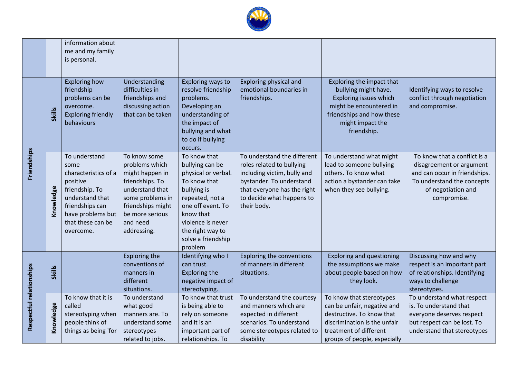

|                          |               | information about<br>me and my family<br>is personal.                                                                                                                    |                                                                                                                                                                                |                                                                                                                                                                                                                      |                                                                                                                                                                                                |                                                                                                                                                                                |                                                                                                                                                              |
|--------------------------|---------------|--------------------------------------------------------------------------------------------------------------------------------------------------------------------------|--------------------------------------------------------------------------------------------------------------------------------------------------------------------------------|----------------------------------------------------------------------------------------------------------------------------------------------------------------------------------------------------------------------|------------------------------------------------------------------------------------------------------------------------------------------------------------------------------------------------|--------------------------------------------------------------------------------------------------------------------------------------------------------------------------------|--------------------------------------------------------------------------------------------------------------------------------------------------------------|
|                          |               | <b>Exploring how</b>                                                                                                                                                     | Understanding                                                                                                                                                                  | Exploring ways to                                                                                                                                                                                                    | Exploring physical and                                                                                                                                                                         | Exploring the impact that                                                                                                                                                      |                                                                                                                                                              |
| <b>Friendships</b>       | <b>Skills</b> | friendship<br>problems can be<br>overcome.<br><b>Exploring friendly</b><br>behaviours                                                                                    | difficulties in<br>friendships and<br>discussing action<br>that can be taken                                                                                                   | resolve friendship<br>problems.<br>Developing an<br>understanding of<br>the impact of<br>bullying and what<br>to do if bullying<br>occurs.                                                                           | emotional boundaries in<br>friendships.                                                                                                                                                        | bullying might have.<br>Exploring issues which<br>might be encountered in<br>friendships and how these<br>might impact the<br>friendship.                                      | Identifying ways to resolve<br>conflict through negotiation<br>and compromise.                                                                               |
|                          | Knowledge     | To understand<br>some<br>characteristics of a<br>positive<br>friendship. To<br>understand that<br>friendships can<br>have problems but<br>that these can be<br>overcome. | To know some<br>problems which<br>might happen in<br>friendships. To<br>understand that<br>some problems in<br>friendships might<br>be more serious<br>and need<br>addressing. | To know that<br>bullying can be<br>physical or verbal.<br>To know that<br>bullying is<br>repeated, not a<br>one off event. To<br>know that<br>violence is never<br>the right way to<br>solve a friendship<br>problem | To understand the different<br>roles related to bullying<br>including victim, bully and<br>bystander. To understand<br>that everyone has the right<br>to decide what happens to<br>their body. | To understand what might<br>lead to someone bullying<br>others. To know what<br>action a bystander can take<br>when they see bullying.                                         | To know that a conflict is a<br>disagreement or argument<br>and can occur in friendships.<br>To understand the concepts<br>of negotiation and<br>compromise. |
|                          | <b>Skills</b> |                                                                                                                                                                          | <b>Exploring the</b><br>conventions of<br>manners in<br>different<br>situations.                                                                                               | Identifying who I<br>can trust.<br><b>Exploring the</b><br>negative impact of<br>stereotyping.                                                                                                                       | <b>Exploring the conventions</b><br>of manners in different<br>situations.                                                                                                                     | <b>Exploring and questioning</b><br>the assumptions we make<br>about people based on how<br>they look.                                                                         | Discussing how and why<br>respect is an important part<br>of relationships. Identifying<br>ways to challenge<br>stereotypes.                                 |
| Respectful relationships | Knowledge     | To know that it is<br>called<br>stereotyping when<br>people think of<br>things as being 'for                                                                             | To understand<br>what good<br>manners are. To<br>understand some<br>stereotypes<br>related to jobs.                                                                            | To know that trust<br>is being able to<br>rely on someone<br>and it is an<br>important part of<br>relationships. To                                                                                                  | To understand the courtesy<br>and manners which are<br>expected in different<br>scenarios. To understand<br>some stereotypes related to<br>disability                                          | To know that stereotypes<br>can be unfair, negative and<br>destructive. To know that<br>discrimination is the unfair<br>treatment of different<br>groups of people, especially | To understand what respect<br>is. To understand that<br>everyone deserves respect<br>but respect can be lost. To<br>understand that stereotypes              |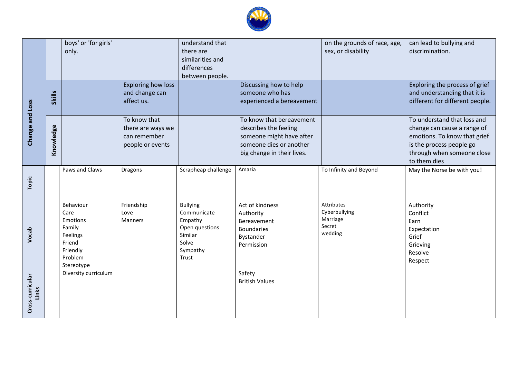

|                           |               | boys' or 'for girls'<br>only.                                                                      |                                                                       | understand that<br>there are<br>similarities and<br>differences<br>between people.                   |                                                                                                                                        | on the grounds of race, age,<br>sex, or disability           | can lead to bullying and<br>discrimination.                                                                                                                          |
|---------------------------|---------------|----------------------------------------------------------------------------------------------------|-----------------------------------------------------------------------|------------------------------------------------------------------------------------------------------|----------------------------------------------------------------------------------------------------------------------------------------|--------------------------------------------------------------|----------------------------------------------------------------------------------------------------------------------------------------------------------------------|
|                           | <b>Skills</b> |                                                                                                    | <b>Exploring how loss</b><br>and change can<br>affect us.             |                                                                                                      | Discussing how to help<br>someone who has<br>experienced a bereavement                                                                 |                                                              | Exploring the process of grief<br>and understanding that it is<br>different for different people.                                                                    |
| Change and Loss           | Knowledge     |                                                                                                    | To know that<br>there are ways we<br>can remember<br>people or events |                                                                                                      | To know that bereavement<br>describes the feeling<br>someone might have after<br>someone dies or another<br>big change in their lives. |                                                              | To understand that loss and<br>change can cause a range of<br>emotions. To know that grief<br>is the process people go<br>through when someone close<br>to them dies |
| Topic                     |               | Paws and Claws                                                                                     | Dragons                                                               | Scrapheap challenge                                                                                  | Amazia                                                                                                                                 | To Infinity and Beyond                                       | May the Norse be with you!                                                                                                                                           |
| Vocab                     |               | Behaviour<br>Care<br>Emotions<br>Family<br>Feelings<br>Friend<br>Friendly<br>Problem<br>Stereotype | Friendship<br>Love<br><b>Manners</b>                                  | <b>Bullying</b><br>Communicate<br>Empathy<br>Open questions<br>Similar<br>Solve<br>Sympathy<br>Trust | Act of kindness<br>Authority<br>Bereavement<br><b>Boundaries</b><br>Bystander<br>Permission                                            | Attributes<br>Cyberbullying<br>Marriage<br>Secret<br>wedding | Authority<br>Conflict<br>Earn<br>Expectation<br>Grief<br>Grieving<br>Resolve<br>Respect                                                                              |
| Cross-curricular<br>Links |               | Diversity curriculum                                                                               |                                                                       |                                                                                                      | Safety<br><b>British Values</b>                                                                                                        |                                                              |                                                                                                                                                                      |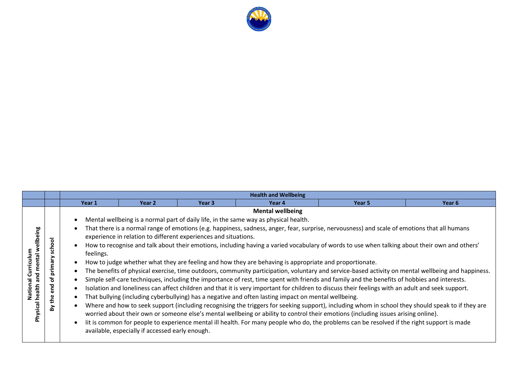

|                                                                         |                                                         |                        | <b>Health and Wellbeing</b>                                                                                        |                   |                                                                                                                                                                                                                                                                                                                                   |                                                                                                                                                                                                                                                                                                                                                                                                                                                                                                                                                                                                                                                                                                                                                                                                                                                                                                                                                                                                                                                                                                                                                                                                    |        |  |  |  |
|-------------------------------------------------------------------------|---------------------------------------------------------|------------------------|--------------------------------------------------------------------------------------------------------------------|-------------------|-----------------------------------------------------------------------------------------------------------------------------------------------------------------------------------------------------------------------------------------------------------------------------------------------------------------------------------|----------------------------------------------------------------------------------------------------------------------------------------------------------------------------------------------------------------------------------------------------------------------------------------------------------------------------------------------------------------------------------------------------------------------------------------------------------------------------------------------------------------------------------------------------------------------------------------------------------------------------------------------------------------------------------------------------------------------------------------------------------------------------------------------------------------------------------------------------------------------------------------------------------------------------------------------------------------------------------------------------------------------------------------------------------------------------------------------------------------------------------------------------------------------------------------------------|--------|--|--|--|
|                                                                         |                                                         | Year 1                 | Year 2                                                                                                             | Year <sub>3</sub> | Year 4                                                                                                                                                                                                                                                                                                                            | Year 5                                                                                                                                                                                                                                                                                                                                                                                                                                                                                                                                                                                                                                                                                                                                                                                                                                                                                                                                                                                                                                                                                                                                                                                             | Year 6 |  |  |  |
| wellbeing<br>Curriculum<br>mental<br>and<br>National<br>Physical health | ᅙ<br>scho<br>primary<br>đ<br>짇<br>$\omega$<br>the<br>λÁ | feelings.<br>$\bullet$ | experience in relation to different experiences and situations.<br>available, especially if accessed early enough. |                   | <b>Mental wellbeing</b><br>Mental wellbeing is a normal part of daily life, in the same way as physical health.<br>How to judge whether what they are feeling and how they are behaving is appropriate and proportionate.<br>That bullying (including cyberbullying) has a negative and often lasting impact on mental wellbeing. | That there is a normal range of emotions (e.g. happiness, sadness, anger, fear, surprise, nervousness) and scale of emotions that all humans<br>How to recognise and talk about their emotions, including having a varied vocabulary of words to use when talking about their own and others'<br>The benefits of physical exercise, time outdoors, community participation, voluntary and service-based activity on mental wellbeing and happiness.<br>Simple self-care techniques, including the importance of rest, time spent with friends and family and the benefits of hobbies and interests.<br>Isolation and loneliness can affect children and that it is very important for children to discuss their feelings with an adult and seek support.<br>Where and how to seek support (including recognising the triggers for seeking support), including whom in school they should speak to if they are<br>worried about their own or someone else's mental wellbeing or ability to control their emotions (including issues arising online).<br>lit is common for people to experience mental ill health. For many people who do, the problems can be resolved if the right support is made |        |  |  |  |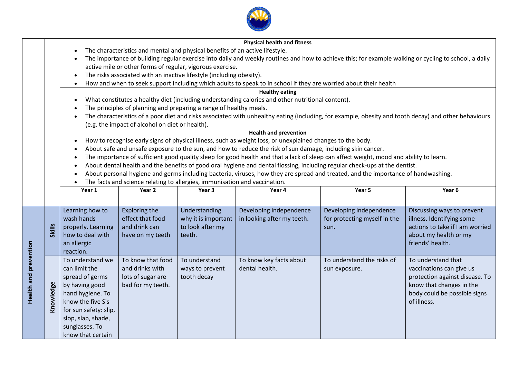

|                              |                                                                                                                               |                       |                                                 |                                                                              | <b>Physical health and fitness</b>                                                                          |                                                                                                                                        |                                                                                                                                                       |  |  |  |  |
|------------------------------|-------------------------------------------------------------------------------------------------------------------------------|-----------------------|-------------------------------------------------|------------------------------------------------------------------------------|-------------------------------------------------------------------------------------------------------------|----------------------------------------------------------------------------------------------------------------------------------------|-------------------------------------------------------------------------------------------------------------------------------------------------------|--|--|--|--|
|                              |                                                                                                                               | $\bullet$             |                                                 | The characteristics and mental and physical benefits of an active lifestyle. |                                                                                                             |                                                                                                                                        |                                                                                                                                                       |  |  |  |  |
|                              |                                                                                                                               | ٠                     |                                                 |                                                                              |                                                                                                             |                                                                                                                                        | The importance of building regular exercise into daily and weekly routines and how to achieve this; for example walking or cycling to school, a daily |  |  |  |  |
|                              |                                                                                                                               |                       |                                                 | active mile or other forms of regular, vigorous exercise.                    |                                                                                                             |                                                                                                                                        |                                                                                                                                                       |  |  |  |  |
|                              |                                                                                                                               | $\bullet$             |                                                 | The risks associated with an inactive lifestyle (including obesity).         |                                                                                                             |                                                                                                                                        |                                                                                                                                                       |  |  |  |  |
|                              | How and when to seek support including which adults to speak to in school if they are worried about their health<br>$\bullet$ |                       |                                                 |                                                                              |                                                                                                             |                                                                                                                                        |                                                                                                                                                       |  |  |  |  |
| <b>Healthy eating</b>        |                                                                                                                               |                       |                                                 |                                                                              |                                                                                                             |                                                                                                                                        |                                                                                                                                                       |  |  |  |  |
|                              | What constitutes a healthy diet (including understanding calories and other nutritional content).<br>$\bullet$                |                       |                                                 |                                                                              |                                                                                                             |                                                                                                                                        |                                                                                                                                                       |  |  |  |  |
|                              | The principles of planning and preparing a range of healthy meals.                                                            |                       |                                                 |                                                                              |                                                                                                             |                                                                                                                                        |                                                                                                                                                       |  |  |  |  |
|                              |                                                                                                                               | $\bullet$             |                                                 |                                                                              |                                                                                                             |                                                                                                                                        | The characteristics of a poor diet and risks associated with unhealthy eating (including, for example, obesity and tooth decay) and other behaviours  |  |  |  |  |
|                              |                                                                                                                               |                       | (e.g. the impact of alcohol on diet or health). |                                                                              |                                                                                                             |                                                                                                                                        |                                                                                                                                                       |  |  |  |  |
|                              |                                                                                                                               |                       |                                                 |                                                                              | <b>Health and prevention</b>                                                                                |                                                                                                                                        |                                                                                                                                                       |  |  |  |  |
|                              |                                                                                                                               | $\bullet$             |                                                 |                                                                              | How to recognise early signs of physical illness, such as weight loss, or unexplained changes to the body.  |                                                                                                                                        |                                                                                                                                                       |  |  |  |  |
|                              |                                                                                                                               |                       |                                                 |                                                                              | About safe and unsafe exposure to the sun, and how to reduce the risk of sun damage, including skin cancer. |                                                                                                                                        |                                                                                                                                                       |  |  |  |  |
|                              |                                                                                                                               | $\bullet$             |                                                 |                                                                              |                                                                                                             | The importance of sufficient good quality sleep for good health and that a lack of sleep can affect weight, mood and ability to learn. |                                                                                                                                                       |  |  |  |  |
|                              |                                                                                                                               | $\bullet$             |                                                 |                                                                              |                                                                                                             | About dental health and the benefits of good oral hygiene and dental flossing, including regular check-ups at the dentist.             |                                                                                                                                                       |  |  |  |  |
|                              |                                                                                                                               | $\bullet$             |                                                 |                                                                              |                                                                                                             | About personal hygiene and germs including bacteria, viruses, how they are spread and treated, and the importance of handwashing.      |                                                                                                                                                       |  |  |  |  |
|                              |                                                                                                                               |                       |                                                 | The facts and science relating to allergies, immunisation and vaccination.   |                                                                                                             |                                                                                                                                        |                                                                                                                                                       |  |  |  |  |
|                              |                                                                                                                               | Year 1                | Year 2                                          | Year 3                                                                       | Year 4                                                                                                      | Year 5                                                                                                                                 | Year 6                                                                                                                                                |  |  |  |  |
|                              |                                                                                                                               |                       |                                                 |                                                                              |                                                                                                             |                                                                                                                                        |                                                                                                                                                       |  |  |  |  |
|                              |                                                                                                                               | Learning how to       | <b>Exploring the</b>                            | Understanding                                                                | Developing independence                                                                                     | Developing independence                                                                                                                | Discussing ways to prevent                                                                                                                            |  |  |  |  |
|                              |                                                                                                                               | wash hands            | effect that food                                | why it is important                                                          | in looking after my teeth.                                                                                  | for protecting myself in the                                                                                                           | illness. Identifying some                                                                                                                             |  |  |  |  |
|                              | <b>Skills</b>                                                                                                                 | properly. Learning    | and drink can                                   | to look after my                                                             |                                                                                                             | sun.                                                                                                                                   | actions to take if I am worried                                                                                                                       |  |  |  |  |
|                              |                                                                                                                               | how to deal with      | have on my teeth                                | teeth.                                                                       |                                                                                                             |                                                                                                                                        | about my health or my                                                                                                                                 |  |  |  |  |
|                              |                                                                                                                               | an allergic           |                                                 |                                                                              |                                                                                                             |                                                                                                                                        | friends' health.                                                                                                                                      |  |  |  |  |
| <b>Health and prevention</b> |                                                                                                                               | reaction.             |                                                 |                                                                              |                                                                                                             |                                                                                                                                        |                                                                                                                                                       |  |  |  |  |
|                              |                                                                                                                               | To understand we      | To know that food                               | To understand                                                                | To know key facts about                                                                                     | To understand the risks of                                                                                                             | To understand that                                                                                                                                    |  |  |  |  |
|                              |                                                                                                                               | can limit the         | and drinks with                                 | ways to prevent                                                              | dental health.                                                                                              | sun exposure.                                                                                                                          | vaccinations can give us                                                                                                                              |  |  |  |  |
|                              |                                                                                                                               | spread of germs       | lots of sugar are                               | tooth decay                                                                  |                                                                                                             |                                                                                                                                        | protection against disease. To                                                                                                                        |  |  |  |  |
|                              |                                                                                                                               | by having good        | bad for my teeth.                               |                                                                              |                                                                                                             |                                                                                                                                        | know that changes in the                                                                                                                              |  |  |  |  |
|                              |                                                                                                                               | hand hygiene. To      |                                                 |                                                                              |                                                                                                             |                                                                                                                                        | body could be possible signs                                                                                                                          |  |  |  |  |
|                              | Knowledge                                                                                                                     | know the five S's     |                                                 |                                                                              |                                                                                                             |                                                                                                                                        | of illness.                                                                                                                                           |  |  |  |  |
|                              |                                                                                                                               | for sun safety: slip, |                                                 |                                                                              |                                                                                                             |                                                                                                                                        |                                                                                                                                                       |  |  |  |  |
|                              |                                                                                                                               | slop, slap, shade,    |                                                 |                                                                              |                                                                                                             |                                                                                                                                        |                                                                                                                                                       |  |  |  |  |
|                              |                                                                                                                               | sunglasses. To        |                                                 |                                                                              |                                                                                                             |                                                                                                                                        |                                                                                                                                                       |  |  |  |  |
|                              |                                                                                                                               | know that certain     |                                                 |                                                                              |                                                                                                             |                                                                                                                                        |                                                                                                                                                       |  |  |  |  |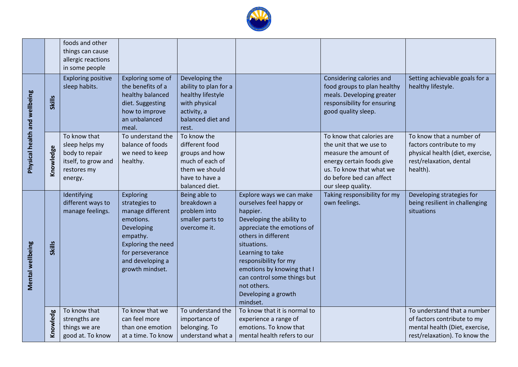

|                               |               | foods and other<br>things can cause<br>allergic reactions<br>in some people                       |                                                                                                                                                                               |                                                                                                                            |                                                                                                                                                                                                                                                                                                                              |                                                                                                                                                                                          |                                                                                                                                 |
|-------------------------------|---------------|---------------------------------------------------------------------------------------------------|-------------------------------------------------------------------------------------------------------------------------------------------------------------------------------|----------------------------------------------------------------------------------------------------------------------------|------------------------------------------------------------------------------------------------------------------------------------------------------------------------------------------------------------------------------------------------------------------------------------------------------------------------------|------------------------------------------------------------------------------------------------------------------------------------------------------------------------------------------|---------------------------------------------------------------------------------------------------------------------------------|
| Physical health and wellbeing | <b>Skills</b> | <b>Exploring positive</b><br>sleep habits.                                                        | Exploring some of<br>the benefits of a<br>healthy balanced<br>diet. Suggesting<br>how to improve<br>an unbalanced<br>meal.                                                    | Developing the<br>ability to plan for a<br>healthy lifestyle<br>with physical<br>activity, a<br>balanced diet and<br>rest. |                                                                                                                                                                                                                                                                                                                              | Considering calories and<br>food groups to plan healthy<br>meals. Developing greater<br>responsibility for ensuring<br>good quality sleep.                                               | Setting achievable goals for a<br>healthy lifestyle.                                                                            |
|                               | Knowledge     | To know that<br>sleep helps my<br>body to repair<br>itself, to grow and<br>restores my<br>energy. | To understand the<br>balance of foods<br>we need to keep<br>healthy.                                                                                                          | To know the<br>different food<br>groups and how<br>much of each of<br>them we should<br>have to have a<br>balanced diet.   |                                                                                                                                                                                                                                                                                                                              | To know that calories are<br>the unit that we use to<br>measure the amount of<br>energy certain foods give<br>us. To know that what we<br>do before bed can affect<br>our sleep quality. | To know that a number of<br>factors contribute to my<br>physical health (diet, exercise,<br>rest/relaxation, dental<br>health). |
| Mental wellbeing              | Skills        | Identifying<br>different ways to<br>manage feelings.                                              | Exploring<br>strategies to<br>manage different<br>emotions.<br>Developing<br>empathy.<br><b>Exploring the need</b><br>for perseverance<br>and developing a<br>growth mindset. | Being able to<br>breakdown a<br>problem into<br>smaller parts to<br>overcome it.                                           | Explore ways we can make<br>ourselves feel happy or<br>happier.<br>Developing the ability to<br>appreciate the emotions of<br>others in different<br>situations.<br>Learning to take<br>responsibility for my<br>emotions by knowing that I<br>can control some things but<br>not others.<br>Developing a growth<br>mindset. | Taking responsibility for my<br>own feelings.                                                                                                                                            | Developing strategies for<br>being resilient in challenging<br>situations                                                       |
|                               | Knowledg      | To know that<br>strengths are<br>things we are<br>good at. To know                                | To know that we<br>can feel more<br>than one emotion<br>at a time. To know                                                                                                    | To understand the<br>importance of<br>belonging. To<br>understand what a                                                   | To know that it is normal to<br>experience a range of<br>emotions. To know that<br>mental health refers to our                                                                                                                                                                                                               |                                                                                                                                                                                          | To understand that a number<br>of factors contribute to my<br>mental health (Diet, exercise,<br>rest/relaxation). To know the   |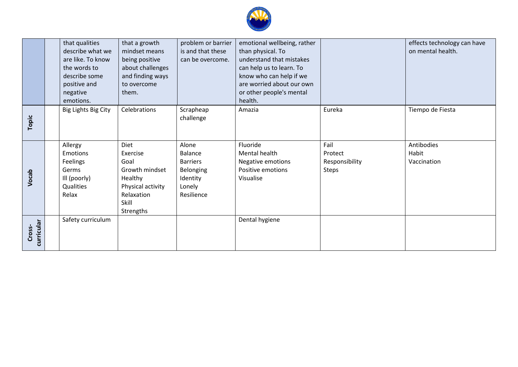

|                      | that qualities<br>describe what we<br>are like. To know<br>the words to<br>describe some<br>positive and<br>negative<br>emotions. | that a growth<br>mindset means<br>being positive<br>about challenges<br>and finding ways<br>to overcome<br>them. | problem or barrier<br>is and that these<br>can be overcome.                          | emotional wellbeing, rather<br>than physical. To<br>understand that mistakes<br>can help us to learn. To<br>know who can help if we<br>are worried about our own<br>or other people's mental<br>health. |                                                   | effects technology can have<br>on mental health. |
|----------------------|-----------------------------------------------------------------------------------------------------------------------------------|------------------------------------------------------------------------------------------------------------------|--------------------------------------------------------------------------------------|---------------------------------------------------------------------------------------------------------------------------------------------------------------------------------------------------------|---------------------------------------------------|--------------------------------------------------|
| Topic                | Big Lights Big City                                                                                                               | Celebrations                                                                                                     | Scrapheap<br>challenge                                                               | Amazia                                                                                                                                                                                                  | Eureka                                            | Tiempo de Fiesta                                 |
| Vocab                | Allergy<br>Emotions<br>Feelings<br>Germs<br>Ill (poorly)<br>Qualities<br>Relax                                                    | Diet<br>Exercise<br>Goal<br>Growth mindset<br>Healthy<br>Physical activity<br>Relaxation<br>Skill<br>Strengths   | Alone<br>Balance<br><b>Barriers</b><br>Belonging<br>Identity<br>Lonely<br>Resilience | Fluoride<br>Mental health<br>Negative emotions<br>Positive emotions<br>Visualise                                                                                                                        | Fail<br>Protect<br>Responsibility<br><b>Steps</b> | Antibodies<br>Habit<br>Vaccination               |
| curricular<br>Cross- | Safety curriculum                                                                                                                 |                                                                                                                  |                                                                                      | Dental hygiene                                                                                                                                                                                          |                                                   |                                                  |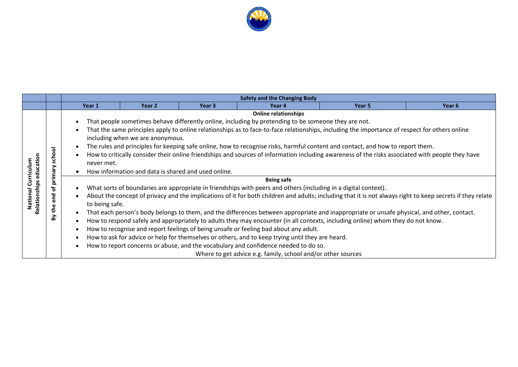

|                           |                                           |                                                                                                                                                                                                                                                                                                                                                                                                                                                                                                                                                                                                                                                                                                                                                       | <b>Safety and the Changing Body</b> |                   |                                                                                                                                                                                                                                                                                                                                                                                                                                                                                         |                                                                                                                                                                                                                                                                               |                                                                                                                                                            |  |  |  |  |
|---------------------------|-------------------------------------------|-------------------------------------------------------------------------------------------------------------------------------------------------------------------------------------------------------------------------------------------------------------------------------------------------------------------------------------------------------------------------------------------------------------------------------------------------------------------------------------------------------------------------------------------------------------------------------------------------------------------------------------------------------------------------------------------------------------------------------------------------------|-------------------------------------|-------------------|-----------------------------------------------------------------------------------------------------------------------------------------------------------------------------------------------------------------------------------------------------------------------------------------------------------------------------------------------------------------------------------------------------------------------------------------------------------------------------------------|-------------------------------------------------------------------------------------------------------------------------------------------------------------------------------------------------------------------------------------------------------------------------------|------------------------------------------------------------------------------------------------------------------------------------------------------------|--|--|--|--|
|                           |                                           | Year 1                                                                                                                                                                                                                                                                                                                                                                                                                                                                                                                                                                                                                                                                                                                                                | Year 2                              | Year <sub>3</sub> | Year 4                                                                                                                                                                                                                                                                                                                                                                                                                                                                                  | Year 5                                                                                                                                                                                                                                                                        | Year 6                                                                                                                                                     |  |  |  |  |
| educatio<br>Curriculum    | ᅙ<br>င်္<br>rima                          | <b>Online relationships</b><br>That people sometimes behave differently online, including by pretending to be someone they are not.<br>$\bullet$<br>That the same principles apply to online relationships as to face-to-face relationships, including the importance of respect for others online<br>$\bullet$<br>including when we are anonymous.<br>The rules and principles for keeping safe online, how to recognise risks, harmful content and contact, and how to report them.<br>$\bullet$<br>How to critically consider their online friendships and sources of information including awareness of the risks associated with people they have<br>$\bullet$<br>never met.<br>How information and data is shared and used online.<br>$\bullet$ |                                     |                   |                                                                                                                                                                                                                                                                                                                                                                                                                                                                                         |                                                                                                                                                                                                                                                                               |                                                                                                                                                            |  |  |  |  |
| Relationships<br>National | ௨<br>$\bullet$<br>ᅙ<br>Ē.<br>ω<br>£<br>ΣÅ | $\bullet$<br>$\bullet$<br>to being safe.<br>$\bullet$<br>$\bullet$<br>$\bullet$<br>$\bullet$<br>$\bullet$                                                                                                                                                                                                                                                                                                                                                                                                                                                                                                                                                                                                                                             |                                     |                   | <b>Being safe</b><br>What sorts of boundaries are appropriate in friendships with peers and others (including in a digital context).<br>How to recognise and report feelings of being unsafe or feeling bad about any adult.<br>How to ask for advice or help for themselves or others, and to keep trying until they are heard.<br>How to report concerns or abuse, and the vocabulary and confidence needed to do so.<br>Where to get advice e.g. family, school and/or other sources | That each person's body belongs to them, and the differences between appropriate and inappropriate or unsafe physical, and other, contact.<br>How to respond safely and appropriately to adults they may encounter (in all contexts, including online) whom they do not know. | About the concept of privacy and the implications of it for both children and adults; including that it is not always right to keep secrets if they relate |  |  |  |  |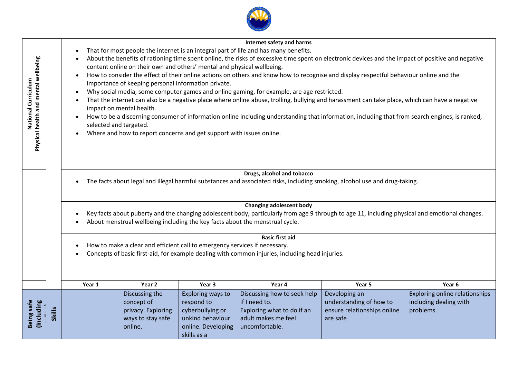| health and mental wellbeing<br>National Curriculum<br>Physical |               | selected and targeted. | content online on their own and others' mental and physical wellbeing.<br>importance of keeping personal information private.<br>impact on mental health.<br>Where and how to report concerns and get support with issues online. |                                                                                                              | <b>Internet safety and harms</b><br>That for most people the internet is an integral part of life and has many benefits.<br>About the benefits of rationing time spent online, the risks of excessive time spent on electronic devices and the impact of positive and negative<br>How to consider the effect of their online actions on others and know how to recognise and display respectful behaviour online and the<br>Why social media, some computer games and online gaming, for example, are age restricted.<br>That the internet can also be a negative place where online abuse, trolling, bullying and harassment can take place, which can have a negative<br>How to be a discerning consumer of information online including understanding that information, including that from search engines, is ranked, |                                                                                     |                                                     |
|----------------------------------------------------------------|---------------|------------------------|-----------------------------------------------------------------------------------------------------------------------------------------------------------------------------------------------------------------------------------|--------------------------------------------------------------------------------------------------------------|---------------------------------------------------------------------------------------------------------------------------------------------------------------------------------------------------------------------------------------------------------------------------------------------------------------------------------------------------------------------------------------------------------------------------------------------------------------------------------------------------------------------------------------------------------------------------------------------------------------------------------------------------------------------------------------------------------------------------------------------------------------------------------------------------------------------------|-------------------------------------------------------------------------------------|-----------------------------------------------------|
|                                                                |               |                        |                                                                                                                                                                                                                                   |                                                                                                              | Drugs, alcohol and tobacco<br>The facts about legal and illegal harmful substances and associated risks, including smoking, alcohol use and drug-taking.<br><b>Changing adolescent body</b><br>Key facts about puberty and the changing adolescent body, particularly from age 9 through to age 11, including physical and emotional changes.<br>About menstrual wellbeing including the key facts about the menstrual cycle.                                                                                                                                                                                                                                                                                                                                                                                             |                                                                                     |                                                     |
|                                                                |               |                        | How to make a clear and efficient call to emergency services if necessary.                                                                                                                                                        |                                                                                                              | <b>Basic first aid</b><br>Concepts of basic first-aid, for example dealing with common injuries, including head injuries.                                                                                                                                                                                                                                                                                                                                                                                                                                                                                                                                                                                                                                                                                                 |                                                                                     |                                                     |
|                                                                |               | Year 1                 | Year 2                                                                                                                                                                                                                            | Year 3                                                                                                       | Year 4<br>Discussing how to seek help                                                                                                                                                                                                                                                                                                                                                                                                                                                                                                                                                                                                                                                                                                                                                                                     | Year 5                                                                              | Year <sub>6</sub><br>Exploring online relationships |
| Being safe<br>(Including                                       | <b>Skills</b> |                        | Discussing the<br>concept of<br>privacy. Exploring<br>ways to stay safe<br>online.                                                                                                                                                | Exploring ways to<br>respond to<br>cyberbullying or<br>unkind behaviour<br>online. Developing<br>skills as a | if I need to.<br>Exploring what to do if an<br>adult makes me feel<br>uncomfortable.                                                                                                                                                                                                                                                                                                                                                                                                                                                                                                                                                                                                                                                                                                                                      | Developing an<br>understanding of how to<br>ensure relationships online<br>are safe | including dealing with<br>problems.                 |

**CALL AN**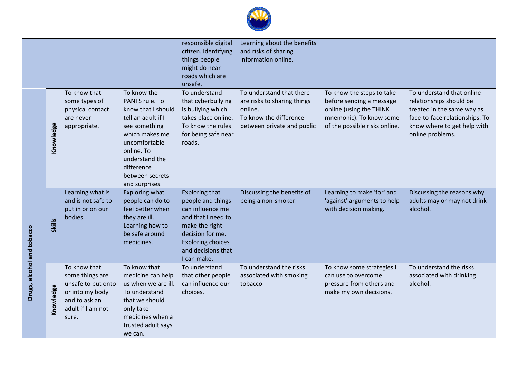

|                            |               |                                                                                                                         |                                                                                                                                                                                                                  | responsible digital<br>citizen. Identifying<br>things people<br>might do near<br>roads which are<br>unsafe.                                                                                 | Learning about the benefits<br>and risks of sharing<br>information online.                                                 |                                                                                                                                              |                                                                                                                                                                         |
|----------------------------|---------------|-------------------------------------------------------------------------------------------------------------------------|------------------------------------------------------------------------------------------------------------------------------------------------------------------------------------------------------------------|---------------------------------------------------------------------------------------------------------------------------------------------------------------------------------------------|----------------------------------------------------------------------------------------------------------------------------|----------------------------------------------------------------------------------------------------------------------------------------------|-------------------------------------------------------------------------------------------------------------------------------------------------------------------------|
|                            | Knowledge     | To know that<br>some types of<br>physical contact<br>are never<br>appropriate.                                          | To know the<br>PANTS rule. To<br>know that I should<br>tell an adult if I<br>see something<br>which makes me<br>uncomfortable<br>online. To<br>understand the<br>difference<br>between secrets<br>and surprises. | To understand<br>that cyberbullying<br>is bullying which<br>takes place online.<br>To know the rules<br>for being safe near<br>roads.                                                       | To understand that there<br>are risks to sharing things<br>online.<br>To know the difference<br>between private and public | To know the steps to take<br>before sending a message<br>online (using the THINK<br>mnemonic). To know some<br>of the possible risks online. | To understand that online<br>relationships should be<br>treated in the same way as<br>face-to-face relationships. To<br>know where to get help with<br>online problems. |
|                            | <b>Skills</b> | Learning what is<br>and is not safe to<br>put in or on our<br>bodies.                                                   | Exploring what<br>people can do to<br>feel better when<br>they are ill.<br>Learning how to<br>be safe around<br>medicines.                                                                                       | <b>Exploring that</b><br>people and things<br>can influence me<br>and that I need to<br>make the right<br>decision for me.<br><b>Exploring choices</b><br>and decisions that<br>I can make. | Discussing the benefits of<br>being a non-smoker.                                                                          | Learning to make 'for' and<br>'against' arguments to help<br>with decision making.                                                           | Discussing the reasons why<br>adults may or may not drink<br>alcohol.                                                                                                   |
| Drugs, alcohol and tobacco | Knowledge     | To know that<br>some things are<br>unsafe to put onto<br>or into my body<br>and to ask an<br>adult if I am not<br>sure. | To know that<br>medicine can help<br>us when we are ill.<br>To understand<br>that we should<br>only take<br>medicines when a<br>trusted adult says<br>we can.                                                    | To understand<br>that other people<br>can influence our<br>choices.                                                                                                                         | To understand the risks<br>associated with smoking<br>tobacco.                                                             | To know some strategies I<br>can use to overcome<br>pressure from others and<br>make my own decisions.                                       | To understand the risks<br>associated with drinking<br>alcohol.                                                                                                         |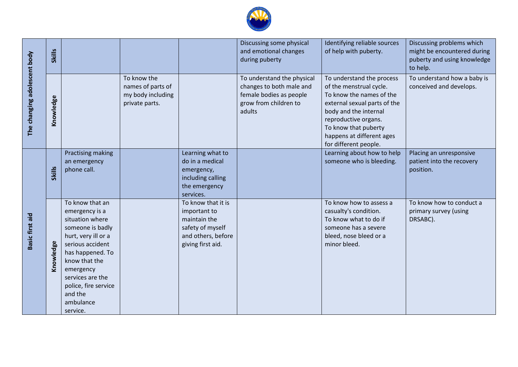

| The changing adolescent body | Skills        |                                                                                                                                                                                                                                                       |                                                                         |                                                                                                                   | Discussing some physical<br>and emotional changes<br>during puberty                                                  | Identifying reliable sources<br>of help with puberty.                                                                                                                                                                                           | Discussing problems which<br>might be encountered during<br>puberty and using knowledge<br>to help. |
|------------------------------|---------------|-------------------------------------------------------------------------------------------------------------------------------------------------------------------------------------------------------------------------------------------------------|-------------------------------------------------------------------------|-------------------------------------------------------------------------------------------------------------------|----------------------------------------------------------------------------------------------------------------------|-------------------------------------------------------------------------------------------------------------------------------------------------------------------------------------------------------------------------------------------------|-----------------------------------------------------------------------------------------------------|
|                              | Knowledge     |                                                                                                                                                                                                                                                       | To know the<br>names of parts of<br>my body including<br>private parts. |                                                                                                                   | To understand the physical<br>changes to both male and<br>female bodies as people<br>grow from children to<br>adults | To understand the process<br>of the menstrual cycle.<br>To know the names of the<br>external sexual parts of the<br>body and the internal<br>reproductive organs.<br>To know that puberty<br>happens at different ages<br>for different people. | To understand how a baby is<br>conceived and develops.                                              |
| <b>Basic first aid</b>       | <b>Skills</b> | Practising making<br>an emergency<br>phone call.                                                                                                                                                                                                      |                                                                         | Learning what to<br>do in a medical<br>emergency,<br>including calling<br>the emergency<br>services.              |                                                                                                                      | Learning about how to help<br>someone who is bleeding.                                                                                                                                                                                          | Placing an unresponsive<br>patient into the recovery<br>position.                                   |
|                              | Knowledge     | To know that an<br>emergency is a<br>situation where<br>someone is badly<br>hurt, very ill or a<br>serious accident<br>has happened. To<br>know that the<br>emergency<br>services are the<br>police, fire service<br>and the<br>ambulance<br>service. |                                                                         | To know that it is<br>important to<br>maintain the<br>safety of myself<br>and others, before<br>giving first aid. |                                                                                                                      | To know how to assess a<br>casualty's condition.<br>To know what to do if<br>someone has a severe<br>bleed, nose bleed or a<br>minor bleed.                                                                                                     | To know how to conduct a<br>primary survey (using<br>DRSABC).                                       |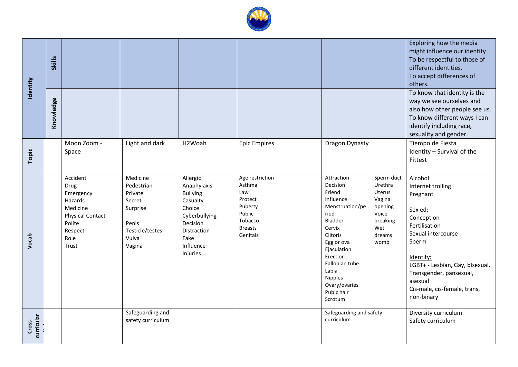

|            |               |                         |                   |                             |                     |                                       |                          | Exploring how the media<br>might influence our identity |
|------------|---------------|-------------------------|-------------------|-----------------------------|---------------------|---------------------------------------|--------------------------|---------------------------------------------------------|
| Identity   |               |                         |                   |                             |                     |                                       |                          | To be respectful to those of                            |
|            | <b>Skills</b> |                         |                   |                             |                     |                                       |                          | different identities.                                   |
|            |               |                         |                   |                             |                     |                                       |                          | To accept differences of                                |
|            |               |                         |                   |                             |                     |                                       |                          | others.                                                 |
|            |               |                         |                   |                             |                     |                                       |                          | To know that identity is the                            |
|            | Knowledge     |                         |                   |                             |                     |                                       |                          | way we see ourselves and                                |
|            |               |                         |                   |                             |                     |                                       |                          | also how other people see us.                           |
|            |               |                         |                   |                             |                     |                                       |                          | To know different ways I can                            |
|            |               |                         |                   |                             |                     |                                       |                          | identify including race,                                |
|            |               |                         |                   |                             |                     |                                       |                          | sexuality and gender.                                   |
|            |               | Moon Zoom -             | Light and dark    | H2Woah                      | <b>Epic Empires</b> | <b>Dragon Dynasty</b>                 |                          | Tiempo de Fiesta                                        |
| Topic      |               | Space                   |                   |                             |                     |                                       |                          | Identity - Survival of the                              |
|            |               |                         |                   |                             |                     |                                       |                          | Fittest                                                 |
|            |               |                         |                   |                             |                     |                                       |                          |                                                         |
|            |               | Accident                | Medicine          | Allergic                    | Age restriction     | Attraction                            | Sperm duct               | Alcohol                                                 |
|            |               | Drug                    | Pedestrian        | Anaphylaxis                 | Asthma<br>Law       | Decision<br>Friend                    | Urethra<br><b>Uterus</b> | Internet trolling                                       |
|            |               | Emergency<br>Hazards    | Private<br>Secret | <b>Bullying</b><br>Casualty | Protect             | Influence                             | Vaginal                  | Pregnant                                                |
|            |               | Medicine                | Surprise          | Choice                      | Puberty             | Menstruation/pe                       | opening                  |                                                         |
|            |               | <b>Physical Contact</b> |                   | Cyberbullying               | Public              | riod                                  | Voice                    | Sex ed:<br>Conception                                   |
|            |               | Polite                  | Penis             | Decision                    | Tobacco             | Bladder                               | breaking                 | Fertilisation                                           |
|            |               | Respect                 | Testicle/testes   | Distraction                 | <b>Breasts</b>      | Cervix<br>Clitoris                    | Wet                      | Sexual intercourse                                      |
| Vocab      |               | Role                    | Vulva             | Fake                        | Genitals            | Egg or ova                            | dreams<br>womb           | Sperm                                                   |
|            |               | Trust                   | Vagina            | Influence                   |                     | Ejaculation                           |                          |                                                         |
|            |               |                         |                   | Injuries                    |                     | Erection                              |                          | Identity:                                               |
|            |               |                         |                   |                             |                     | Fallopian tube                        |                          | LGBT+ - Lesbian, Gay, blsexual,                         |
|            |               |                         |                   |                             |                     | Labia                                 |                          | Transgender, pansexual,                                 |
|            |               |                         |                   |                             |                     | Nipples<br>Ovary/ovaries              |                          | asexual                                                 |
|            |               |                         |                   |                             |                     | Pubic hair                            |                          | Cis-male, cis-female, trans,                            |
|            |               |                         |                   |                             |                     | Scrotum                               |                          | non-binary                                              |
|            |               |                         |                   |                             |                     |                                       |                          |                                                         |
|            |               |                         | Safeguarding and  |                             |                     | Safeguarding and safety<br>curriculum |                          | Diversity curriculum                                    |
| Cross-     |               |                         | safety curriculum |                             |                     |                                       |                          | Safety curriculum                                       |
| curricular |               |                         |                   |                             |                     |                                       |                          |                                                         |
|            |               |                         |                   |                             |                     |                                       |                          |                                                         |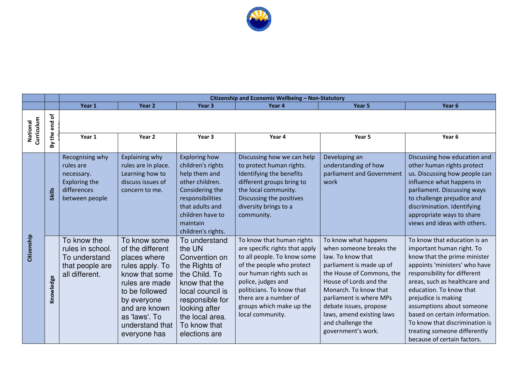

|                        |                     | Citizenship and Economic Wellbeing - Non-Statutory                                                  |                                                                                                                                                                                                               |                                                                                                                                                                                                         |                                                                                                                                                                                                                                                                                 |                                                                                                                                                                                                                                                                                                               |                                                                                                                                                                                                                                                                                                                                                                                                              |
|------------------------|---------------------|-----------------------------------------------------------------------------------------------------|---------------------------------------------------------------------------------------------------------------------------------------------------------------------------------------------------------------|---------------------------------------------------------------------------------------------------------------------------------------------------------------------------------------------------------|---------------------------------------------------------------------------------------------------------------------------------------------------------------------------------------------------------------------------------------------------------------------------------|---------------------------------------------------------------------------------------------------------------------------------------------------------------------------------------------------------------------------------------------------------------------------------------------------------------|--------------------------------------------------------------------------------------------------------------------------------------------------------------------------------------------------------------------------------------------------------------------------------------------------------------------------------------------------------------------------------------------------------------|
|                        |                     | Year 1                                                                                              | Year <sub>2</sub>                                                                                                                                                                                             | Year <sub>3</sub>                                                                                                                                                                                       | Year 4                                                                                                                                                                                                                                                                          | Year 5                                                                                                                                                                                                                                                                                                        | Year <sub>6</sub>                                                                                                                                                                                                                                                                                                                                                                                            |
| Curriculum<br>National | ৳<br>end<br>£<br>δŅ | Year 1                                                                                              | Year 2                                                                                                                                                                                                        | Year 3                                                                                                                                                                                                  | Year 4                                                                                                                                                                                                                                                                          | Year 5                                                                                                                                                                                                                                                                                                        | Year <sub>6</sub>                                                                                                                                                                                                                                                                                                                                                                                            |
| Citizenship            | <b>Skills</b>       | Recognising why<br>rules are<br>necessary.<br><b>Exploring the</b><br>differences<br>between people | Explaining why<br>rules are in place.<br>Learning how to<br>discuss issues of<br>concern to me.                                                                                                               | <b>Exploring how</b><br>children's rights<br>help them and<br>other children.<br>Considering the<br>responsibilities<br>that adults and<br>children have to<br>maintain<br>children's rights.           | Discussing how we can help<br>to protect human rights.<br>Identifying the benefits<br>different groups bring to<br>the local community.<br>Discussing the positives<br>diversity brings to a<br>community.                                                                      | Developing an<br>understanding of how<br>parliament and Government<br>work                                                                                                                                                                                                                                    | Discussing how education and<br>other human rights protect<br>us. Discussing how people can<br>influence what happens in<br>parliament. Discussing ways<br>to challenge prejudice and<br>discrimination. Identifying<br>appropriate ways to share<br>views and ideas with others.                                                                                                                            |
|                        | Knowledge           | To know the<br>rules in school.<br>To understand<br>that people are<br>all different.               | To know some<br>of the different<br>places where<br>rules apply. To<br>know that some<br>rules are made<br>to be followed<br>by everyone<br>and are known<br>as 'laws'. To<br>understand that<br>everyone has | To understand<br>the UN<br>Convention on<br>the Rights of<br>the Child. To<br>know that the<br>local council is<br>responsible for<br>looking after<br>the local area.<br>To know that<br>elections are | To know that human rights<br>are specific rights that apply<br>to all people. To know some<br>of the people who protect<br>our human rights such as<br>police, judges and<br>politicians. To know that<br>there are a number of<br>groups which make up the<br>local community. | To know what happens<br>when someone breaks the<br>law. To know that<br>parliament is made up of<br>the House of Commons, the<br>House of Lords and the<br>Monarch. To know that<br>parliament is where MPs<br>debate issues, propose<br>laws, amend existing laws<br>and challenge the<br>government's work. | To know that education is an<br>important human right. To<br>know that the prime minister<br>appoints 'ministers' who have<br>responsibility for different<br>areas, such as healthcare and<br>education. To know that<br>prejudice is making<br>assumptions about someone<br>based on certain information.<br>To know that discrimination is<br>treating someone differently<br>because of certain factors. |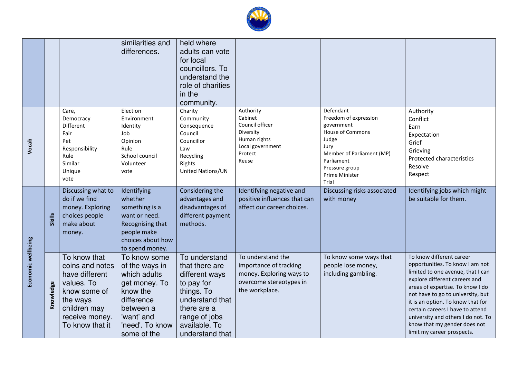

|                    |               |                                                                                                                                                  | similarities and<br>differences.                                                                                                                       | held where<br>adults can vote<br>for local<br>councillors. To<br>understand the<br>role of charities<br>in the<br>community.                                         |                                                                                                                      |                                                                                                                                                                                             |                                                                                                                                                                                                                                                                                                                                                                                         |
|--------------------|---------------|--------------------------------------------------------------------------------------------------------------------------------------------------|--------------------------------------------------------------------------------------------------------------------------------------------------------|----------------------------------------------------------------------------------------------------------------------------------------------------------------------|----------------------------------------------------------------------------------------------------------------------|---------------------------------------------------------------------------------------------------------------------------------------------------------------------------------------------|-----------------------------------------------------------------------------------------------------------------------------------------------------------------------------------------------------------------------------------------------------------------------------------------------------------------------------------------------------------------------------------------|
| Vocab              |               | Care,<br>Democracy<br>Different<br>Fair<br>Pet<br>Responsibility<br>Rule<br>Similar<br>Unique<br>vote                                            | Election<br>Environment<br>Identity<br>Job<br>Opinion<br>Rule<br>School council<br>Volunteer<br>vote                                                   | Charity<br>Community<br>Consequence<br>Council<br>Councillor<br>Law<br>Recycling<br>Rights<br>United Nations/UN                                                      | Authority<br>Cabinet<br>Council officer<br>Diversity<br>Human rights<br>Local government<br>Protect<br>Reuse         | Defendant<br>Freedom of expression<br>government<br><b>House of Commons</b><br>Judge<br>Jury<br>Member of Parliament (MP)<br>Parliament<br>Pressure group<br><b>Prime Minister</b><br>Trial | Authority<br>Conflict<br>Earn<br>Expectation<br>Grief<br>Grieving<br>Protected characteristics<br>Resolve<br>Respect                                                                                                                                                                                                                                                                    |
|                    | <b>Skills</b> | Discussing what to<br>do if we find<br>money. Exploring<br>choices people<br>make about<br>money.                                                | Identifying<br>whether<br>something is a<br>want or need.<br>Recognising that<br>people make<br>choices about how<br>to spend money.                   | Considering the<br>advantages and<br>disadvantages of<br>different payment<br>methods.                                                                               | Identifying negative and<br>positive influences that can<br>affect our career choices.                               | Discussing risks associated<br>with money                                                                                                                                                   | Identifying jobs which might<br>be suitable for them.                                                                                                                                                                                                                                                                                                                                   |
| Economic wellbeing | Knowledge     | To know that<br>coins and notes<br>have different<br>values. To<br>know some of<br>the ways<br>children may<br>receive money.<br>To know that it | To know some<br>of the ways in<br>which adults<br>get money. To<br>know the<br>difference<br>between a<br>'want' and<br>'need'. To know<br>some of the | To understand<br>that there are<br>different ways<br>to pay for<br>things. To<br>understand that<br>there are a<br>range of jobs<br>available. To<br>understand that | To understand the<br>importance of tracking<br>money. Exploring ways to<br>overcome stereotypes in<br>the workplace. | To know some ways that<br>people lose money,<br>including gambling.                                                                                                                         | To know different career<br>opportunities. To know I am not<br>limited to one avenue, that I can<br>explore different careers and<br>areas of expertise. To know I do<br>not have to go to university, but<br>it is an option. To know that for<br>certain careers I have to attend<br>university and others I do not. To<br>know that my gender does not<br>limit my career prospects. |